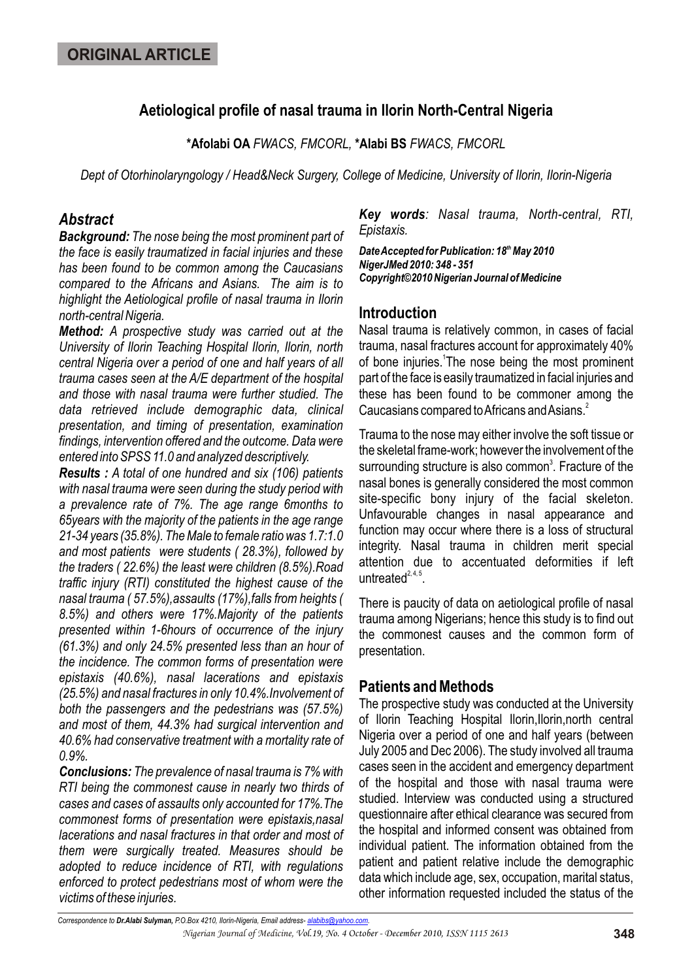# **Aetiological profile of nasal trauma in Ilorin North-Central Nigeria**

**\*Afolabi OA** *FWACS, FMCORL,* **\*Alabi BS** *FWACS, FMCORL*

*Dept of Otorhinolaryngology / Head&Neck Surgery, College of Medicine, University of Ilorin, Ilorin-Nigeria*

## *Abstract*

*Background: The nose being the most prominent part of the face is easily traumatized in facial injuries and these has been found to be common among the Caucasians compared to the Africans and Asians. The aim is to highlight the Aetiological profile of nasal trauma in Ilorin north-central Nigeria.*

*Method: A prospective study was carried out at the University of Ilorin Teaching Hospital Ilorin, Ilorin, north central Nigeria over a period of one and half years of all trauma cases seen at the A/E department of the hospital and those with nasal trauma were further studied. The data retrieved include demographic data, clinical presentation, and timing of presentation, examination findings, intervention offered and the outcome. Data were entered into SPSS 11.0 and analyzed descriptively.*

*Results : A total of one hundred and six (106) patients with nasal trauma were seen during the study period with a prevalence rate of 7%. The age range 6months to 65years with the majority of the patients in the age range 21-34 years (35.8%). The Male to female ratio was 1.7:1.0 and most patients were students ( 28.3%), followed by the traders ( 22.6%) the least were children (8.5%).Road traffic injury (RTI) constituted the highest cause of the nasal trauma ( 57.5%),assaults (17%),falls from heights ( 8.5%) and others were 17%.Majority of the patients presented within 1-6hours of occurrence of the injury (61.3%) and only 24.5% presented less than an hour of the incidence. The common forms of presentation were epistaxis (40.6%), nasal lacerations and epistaxis (25.5%) and nasal fractures in only 10.4%.Involvement of both the passengers and the pedestrians was (57.5%) and most of them, 44.3% had surgical intervention and 40.6% had conservative treatment with a mortality rate of 0.9%.*

*Conclusions: The prevalence of nasal trauma is 7% with RTI being the commonest cause in nearly two thirds of cases and cases of assaults only accounted for 17%.The commonest forms of presentation were epistaxis,nasal lacerations and nasal fractures in that order and most of them were surgically treated. Measures should be adopted to reduce incidence of RTI, with regulations enforced to protect pedestrians most of whom were the victims of these injuries.* 

*Key words: Nasal trauma, North-central, RTI, Epistaxis.*

*th Date Accepted for Publication: 18 May 2010 NigerJMed 2010: 348 - 351 Copyright©2010 Nigerian Journal of Medicine*

# **Introduction**

Nasal trauma is relatively common, in cases of facial trauma, nasal fractures account for approximately 40% of bone injuries. The nose being the most prominent part of the face is easily traumatized in facial injuries and these has been found to be commoner among the 2 Caucasians compared to Africans and Asians.

Trauma to the nose may either involve the soft tissue or the skeletal frame-work; however the involvement of the surrounding structure is also common<sup>3</sup>. Fracture of the nasal bones is generally considered the most common site-specific bony injury of the facial skeleton. Unfavourable changes in nasal appearance and function may occur where there is a loss of structural integrity. Nasal trauma in children merit special attention due to accentuated deformities if left untreated $2, 4, 5$ .

There is paucity of data on aetiological profile of nasal trauma among Nigerians; hence this study is to find out the commonest causes and the common form of presentation.

## **Patients and Methods**

The prospective study was conducted at the University of Ilorin Teaching Hospital Ilorin,Ilorin,north central Nigeria over a period of one and half years (between July 2005 and Dec 2006). The study involved all trauma cases seen in the accident and emergency department of the hospital and those with nasal trauma were studied. Interview was conducted using a structured questionnaire after ethical clearance was secured from the hospital and informed consent was obtained from individual patient. The information obtained from the patient and patient relative include the demographic data which include age, sex, occupation, marital status, other information requested included the status of the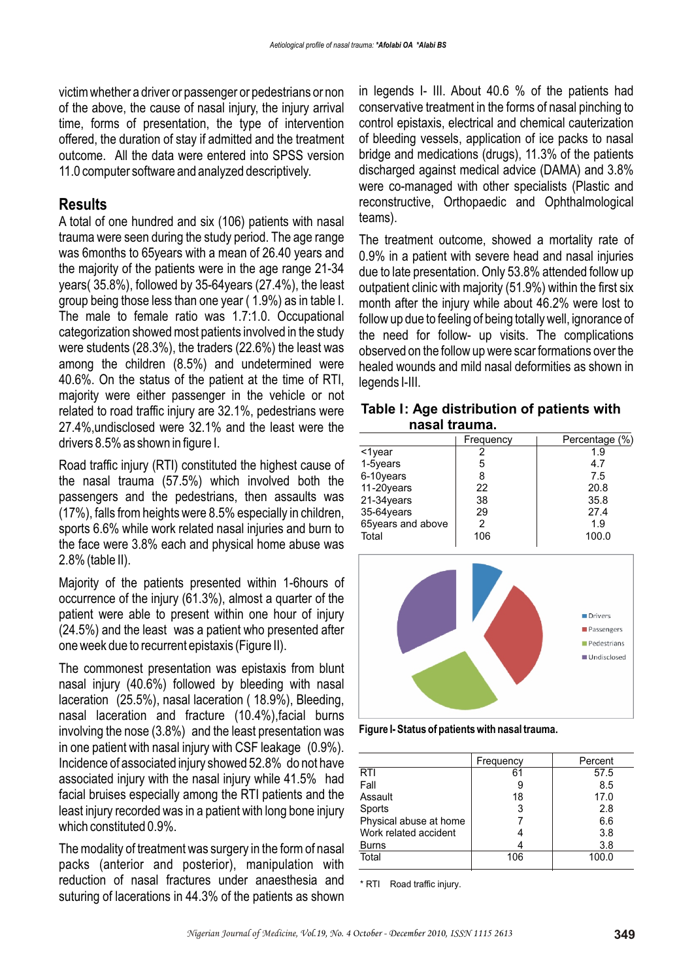victim whether a driver or passenger or pedestrians or non of the above, the cause of nasal injury, the injury arrival time, forms of presentation, the type of intervention offered, the duration of stay if admitted and the treatment outcome. All the data were entered into SPSS version 11.0 computer software and analyzed descriptively.

### **Results**

A total of one hundred and six (106) patients with nasal trauma were seen during the study period. The age range was 6months to 65years with a mean of 26.40 years and the majority of the patients were in the age range 21-34 years( 35.8%), followed by 35-64years (27.4%), the least group being those less than one year ( 1.9%) as in table I. The male to female ratio was 1.7:1.0. Occupational categorization showed most patients involved in the study were students (28.3%), the traders (22.6%) the least was among the children (8.5%) and undetermined were 40.6%. On the status of the patient at the time of RTI, majority were either passenger in the vehicle or not related to road traffic injury are 32.1%, pedestrians were 27.4%,undisclosed were 32.1% and the least were the drivers 8.5% as shown in figure I.

Road traffic injury (RTI) constituted the highest cause of the nasal trauma (57.5%) which involved both the passengers and the pedestrians, then assaults was (17%), falls from heights were 8.5% especially in children, sports 6.6% while work related nasal injuries and burn to the face were 3.8% each and physical home abuse was 2.8% (table II).

Majority of the patients presented within 1-6hours of occurrence of the injury (61.3%), almost a quarter of the patient were able to present within one hour of injury (24.5%) and the least was a patient who presented after one week due to recurrent epistaxis (Figure II).

The commonest presentation was epistaxis from blunt nasal injury (40.6%) followed by bleeding with nasal laceration (25.5%), nasal laceration ( 18.9%), Bleeding, nasal laceration and fracture (10.4%),facial burns involving the nose (3.8%) and the least presentation was in one patient with nasal injury with CSF leakage (0.9%). Incidence of associated injury showed 52.8% do not have associated injury with the nasal injury while 41.5% had facial bruises especially among the RTI patients and the least injury recorded was in a patient with long bone injury which constituted 0.9%.

The modality of treatment was surgery in the form of nasal packs (anterior and posterior), manipulation with reduction of nasal fractures under anaesthesia and suturing of lacerations in 44.3% of the patients as shown

in legends I- III. About 40.6 % of the patients had conservative treatment in the forms of nasal pinching to control epistaxis, electrical and chemical cauterization of bleeding vessels, application of ice packs to nasal bridge and medications (drugs), 11.3% of the patients discharged against medical advice (DAMA) and 3.8% were co-managed with other specialists (Plastic and reconstructive, Orthopaedic and Ophthalmological teams).

The treatment outcome, showed a mortality rate of 0.9% in a patient with severe head and nasal injuries due to late presentation. Only 53.8% attended follow up outpatient clinic with majority (51.9%) within the first six month after the injury while about 46.2% were lost to follow up due to feeling of being totally well, ignorance of the need for follow- up visits. The complications observed on the follow up were scar formations over the healed wounds and mild nasal deformities as shown in legends I-III.

#### **Table I: Age distribution of patients with nasal trauma.**

|                   | Frequency | Percentage (%) |
|-------------------|-----------|----------------|
| $1$ year          |           | 1.9            |
| 1-5years          | 5         | 4.7            |
| 6-10years         |           | 7.5            |
| 11-20years        | 22        | 20.8           |
| 21-34years        | 38        | 35.8           |
| 35-64years        | 29        | 27.4           |
| 65years and above |           | 1.9            |
| Total             | 106       | 100.0          |



**Figure I- Status of patients with nasal trauma.**

|                        | Frequency | Percent |
|------------------------|-----------|---------|
| <b>RTI</b>             | 61        | 57.5    |
| Fall                   |           | 8.5     |
| Assault                | 18        | 17.0    |
| Sports                 | 3         | 2.8     |
| Physical abuse at home |           | 6.6     |
| Work related accident  |           | 3.8     |
| <b>Burns</b>           |           | 3.8     |
| Total                  | 106       | 100.0   |

\* RTI Road traffic injury.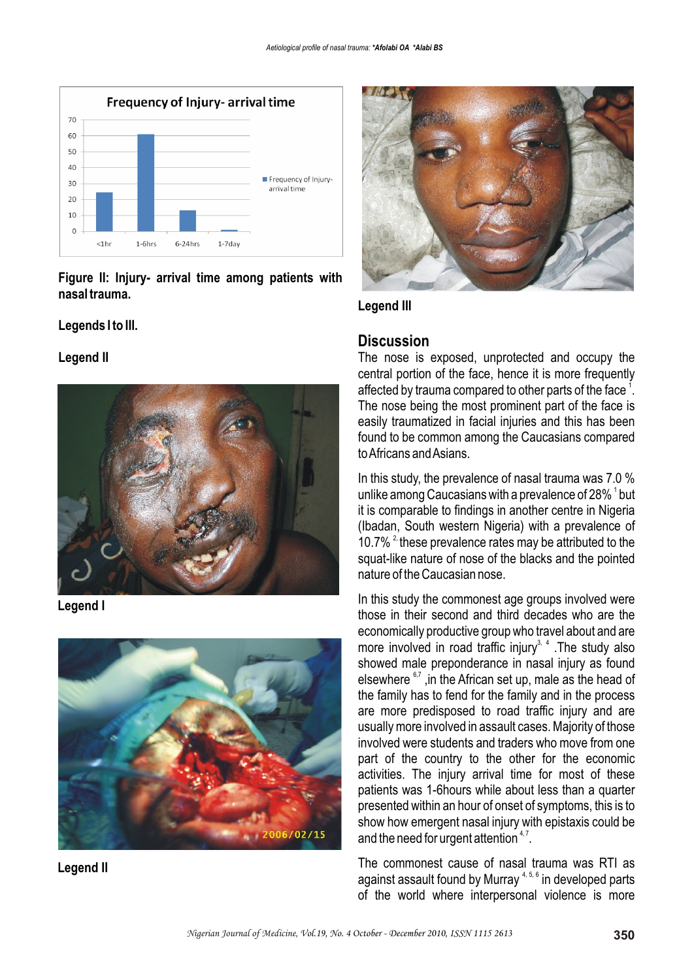

**Figure II: Injury- arrival time among patients with nasal trauma.**

### **Legends I to III.**

#### **Legend II**



**Legend I**









## **Discussion**

The nose is exposed, unprotected and occupy the central portion of the face, hence it is more frequently affected by trauma compared to other parts of the face  $^{\text{1}}$ . The nose being the most prominent part of the face is easily traumatized in facial injuries and this has been found to be common among the Caucasians compared to Africans and Asians.

In this study, the prevalence of nasal trauma was 7.0 % unlike among Caucasians with a prevalence of 28%  $^{\rm 1}$  but it is comparable to findings in another centre in Nigeria (Ibadan, South western Nigeria) with a prevalence of 10.7%  $2$  these prevalence rates may be attributed to the squat-like nature of nose of the blacks and the pointed nature of the Caucasian nose.

In this study the commonest age groups involved were those in their second and third decades who are the economically productive group who travel about and are more involved in road traffic injury<sup>3, 4</sup>. The study also showed male preponderance in nasal injury as found elsewhere  $6,7$ , in the African set up, male as the head of the family has to fend for the family and in the process are more predisposed to road traffic injury and are usually more involved in assault cases. Majority of those involved were students and traders who move from one part of the country to the other for the economic activities. The injury arrival time for most of these patients was 1-6hours while about less than a quarter presented within an hour of onset of symptoms, this is to show how emergent nasal injury with epistaxis could be and the need for urgent attention  $4.7$ .

The commonest cause of nasal trauma was RTI as against assault found by Murray  $4, 5, 6$  in developed parts of the world where interpersonal violence is more